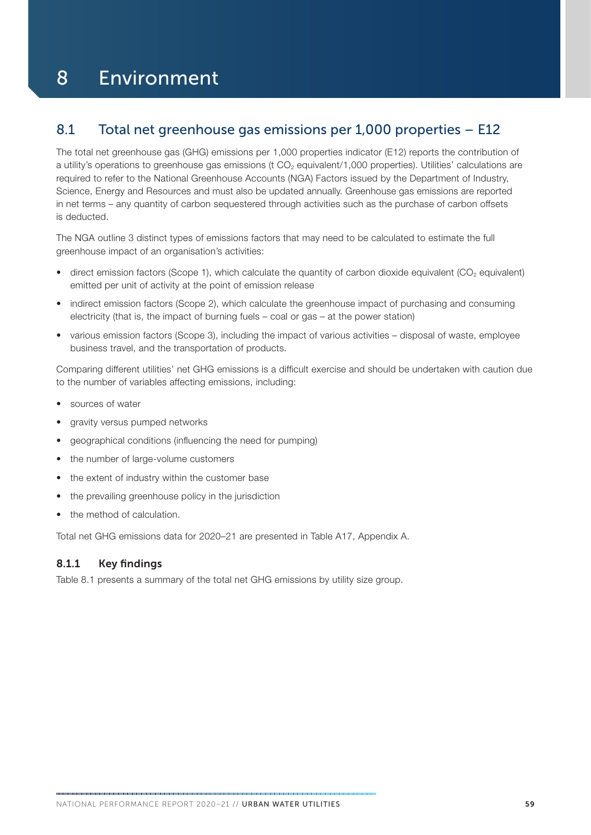## 8 Environment

## 8.1 Total net greenhouse gas emissions per 1,000 properties – E12

The total net greenhouse gas (GHG) emissions per 1,000 properties indicator (E12) reports the contribution of a utility's operations to greenhouse gas emissions (t  $CO<sub>2</sub>$  equivalent/1,000 properties). Utilities' calculations are required to refer to the National Greenhouse Accounts (NGA) Factors issued by the Department of Industry, Science, Energy and Resources and must also be updated annually. Greenhouse gas emissions are reported in net terms – any quantity of carbon sequestered through activities such as the purchase of carbon offsets is deducted.

The NGA outline 3 distinct types of emissions factors that may need to be calculated to estimate the full greenhouse impact of an organisation's activities:

- direct emission factors (Scope 1), which calculate the quantity of carbon dioxide equivalent (CO<sub>2</sub> equivalent) emitted per unit of activity at the point of emission release
- indirect emission factors (Scope 2), which calculate the greenhouse impact of purchasing and consuming electricity (that is, the impact of burning fuels – coal or gas – at the power station)
- various emission factors (Scope 3), including the impact of various activities disposal of waste, employee business travel, and the transportation of products.

Comparing different utilities' net GHG emissions is a difficult exercise and should be undertaken with caution due to the number of variables affecting emissions, including:

- sources of water
- aravity versus pumped networks
- geographical conditions (influencing the need for pumping)
- the number of large-volume customers
- the extent of industry within the customer base
- the prevailing greenhouse policy in the jurisdiction
- the method of calculation.

Total net GHG emissions data for 2020–21 are presented in Table A17, Appendix A.

## 8.1.1 Key findings

Table 8.1 presents a summary of the total net GHG emissions by utility size group.